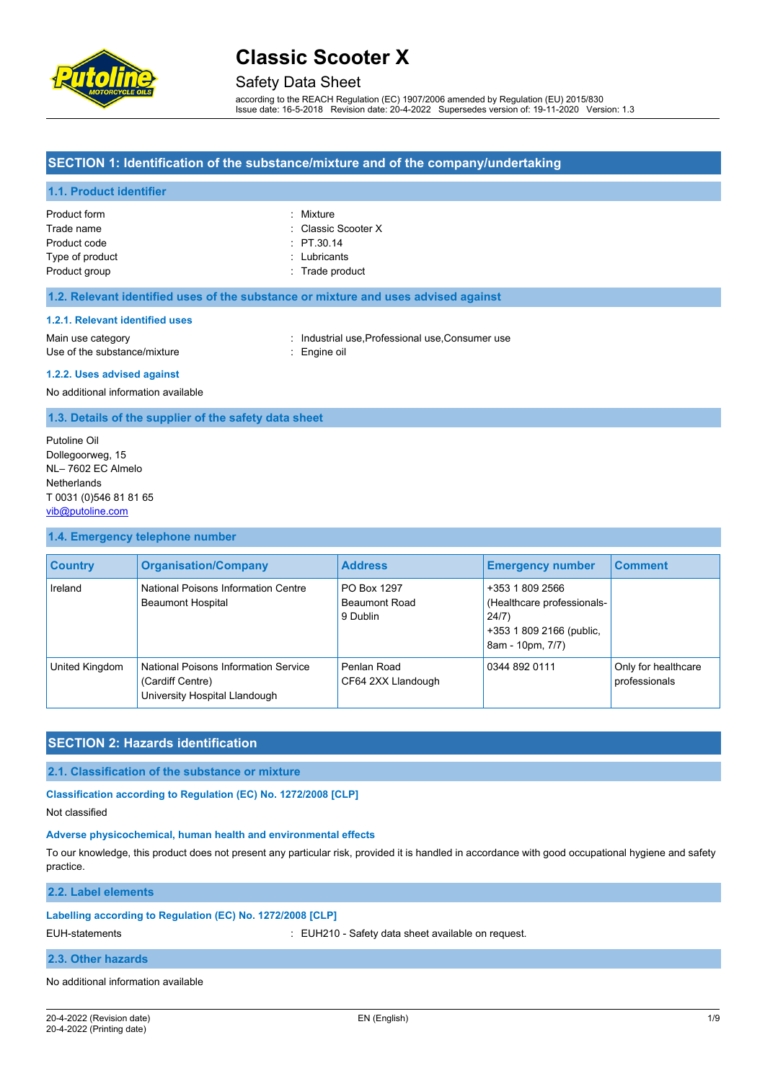

### Safety Data Sheet

according to the REACH Regulation (EC) 1907/2006 amended by Regulation (EU) 2015/830 Issue date: 16-5-2018 Revision date: 20-4-2022 Supersedes version of: 19-11-2020 Version: 1.3

### **SECTION 1: Identification of the substance/mixture and of the company/undertaking**

#### **1.1. Product identifier**

| Product form    | : Mixture           |
|-----------------|---------------------|
| Trade name      | : Classic Scooter X |
| Product code    | $\div$ PT.30.14     |
| Type of product | : Lubricants        |
| Product group   | : Trade product     |

#### **1.2. Relevant identified uses of the substance or mixture and uses advised against**

#### **1.2.1. Relevant identified uses**

Main use category **industrial use, Professional use, Consumer use** industrial use, Professional use, Consumer use Use of the substance/mixture **in the substance** in the set of the substance in the set of the substance in the substance in the set of the set of the set of the set of the set of the set of the set of the set of the set of

#### **1.2.2. Uses advised against**

No additional information available

#### **1.3. Details of the supplier of the safety data sheet**

Putoline Oil Dollegoorweg, 15 NL– 7602 EC Almelo **Netherlands** T 0031 (0)546 81 81 65 [vib@putoline.com](mailto:vib@putoline.com)

#### **1.4. Emergency telephone number**

| <b>Country</b> | <b>Organisation/Company</b>                                                               | <b>Address</b>                                  | <b>Emergency number</b>                                                                                | <b>Comment</b>                       |
|----------------|-------------------------------------------------------------------------------------------|-------------------------------------------------|--------------------------------------------------------------------------------------------------------|--------------------------------------|
| Ireland        | National Poisons Information Centre<br><b>Beaumont Hospital</b>                           | PO Box 1297<br><b>Beaumont Road</b><br>9 Dublin | +353 1 809 2566<br>(Healthcare professionals-<br>24/7)<br>+353 1 809 2166 (public,<br>8am - 10pm, 7/7) |                                      |
| United Kingdom | National Poisons Information Service<br>(Cardiff Centre)<br>University Hospital Llandough | Penlan Road<br>CF64 2XX Llandough               | 0344 892 0111                                                                                          | Only for healthcare<br>professionals |

#### **SECTION 2: Hazards identification**

#### **2.1. Classification of the substance or mixture**

**Classification according to Regulation (EC) No. 1272/2008 [CLP]**

Not classified

#### **Adverse physicochemical, human health and environmental effects**

To our knowledge, this product does not present any particular risk, provided it is handled in accordance with good occupational hygiene and safety practice.

#### **2.2. Label elements**

#### **Labelling according to Regulation (EC) No. 1272/2008 [CLP]**

EUH-statements : EUH210 - Safety data sheet available on request.

#### **2.3. Other hazards**

#### No additional information available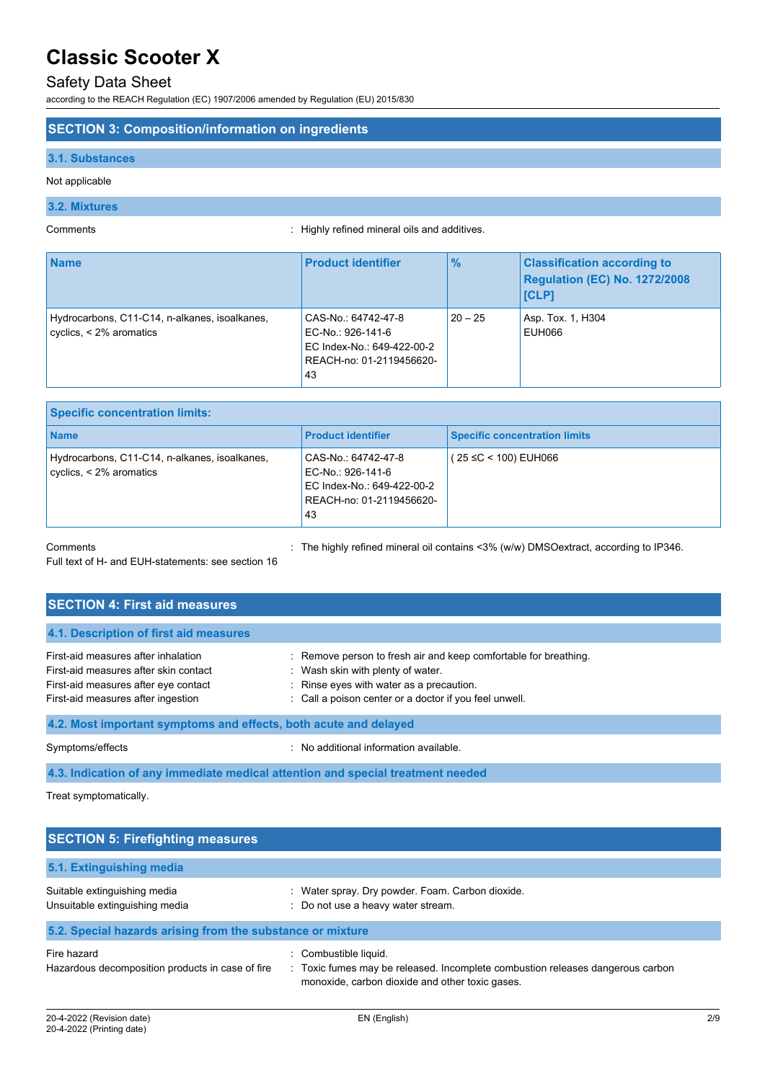# Safety Data Sheet

according to the REACH Regulation (EC) 1907/2006 amended by Regulation (EU) 2015/830

#### **SECTION 3: Composition/information on ingredients**

#### **3.1. Substances**

Not applicable

#### **3.2. Mixtures**

Comments : Highly refined mineral oils and additives.

| <b>Name</b>                                                                   | <b>Product identifier</b>                                                                                | $\frac{9}{6}$ | <b>Classification according to</b><br>Regulation (EC) No. 1272/2008<br><b>ICLP1</b> |
|-------------------------------------------------------------------------------|----------------------------------------------------------------------------------------------------------|---------------|-------------------------------------------------------------------------------------|
| Hydrocarbons, C11-C14, n-alkanes, isoalkanes,<br>cyclics, $\leq$ 2% aromatics | CAS-No.: 64742-47-8<br>EC-No.: 926-141-6<br>EC Index-No.: 649-422-00-2<br>REACH-no: 01-2119456620-<br>43 | $20 - 25$     | Asp. Tox. 1, H304<br>EUH066                                                         |

| <b>Specific concentration limits:</b>                                            |                                                                                                          |                                      |
|----------------------------------------------------------------------------------|----------------------------------------------------------------------------------------------------------|--------------------------------------|
| <b>Name</b>                                                                      | <b>Product identifier</b>                                                                                | <b>Specific concentration limits</b> |
| Hydrocarbons, C11-C14, n-alkanes, isoalkanes,<br>$\vert$ cyclics, < 2% aromatics | CAS-No.: 64742-47-8<br>EC-No.: 926-141-6<br>EC Index-No.: 649-422-00-2<br>REACH-no: 01-2119456620-<br>43 | (25 ≤C < 100) EUH066                 |

Comments : The highly refined mineral oil contains <3% (w/w) DMSOextract, according to IP346.

Full text of H- and EUH-statements: see section 16

| <b>SECTION 4: First aid measures</b>                                                                                                                       |                                                                                                                                                                                                             |  |  |
|------------------------------------------------------------------------------------------------------------------------------------------------------------|-------------------------------------------------------------------------------------------------------------------------------------------------------------------------------------------------------------|--|--|
| 4.1. Description of first aid measures                                                                                                                     |                                                                                                                                                                                                             |  |  |
| First-aid measures after inhalation<br>First-aid measures after skin contact<br>First-aid measures after eye contact<br>First-aid measures after ingestion | : Remove person to fresh air and keep comfortable for breathing.<br>: Wash skin with plenty of water.<br>: Rinse eyes with water as a precaution.<br>: Call a poison center or a doctor if you feel unwell. |  |  |
| 4.2. Most important symptoms and effects, both acute and delayed                                                                                           |                                                                                                                                                                                                             |  |  |
| Symptoms/effects                                                                                                                                           | : No additional information available.                                                                                                                                                                      |  |  |

**4.3. Indication of any immediate medical attention and special treatment needed**

Treat symptomatically.

| <b>SECTION 5: Firefighting measures</b>                         |                                                                                                                                                          |  |  |
|-----------------------------------------------------------------|----------------------------------------------------------------------------------------------------------------------------------------------------------|--|--|
| 5.1. Extinguishing media                                        |                                                                                                                                                          |  |  |
| Suitable extinguishing media<br>Unsuitable extinguishing media  | : Water spray. Dry powder. Foam. Carbon dioxide.<br>: Do not use a heavy water stream.                                                                   |  |  |
| 5.2. Special hazards arising from the substance or mixture      |                                                                                                                                                          |  |  |
| Fire hazard<br>Hazardous decomposition products in case of fire | Combustible liquid.<br>: Toxic fumes may be released. Incomplete combustion releases dangerous carbon<br>monoxide, carbon dioxide and other toxic gases. |  |  |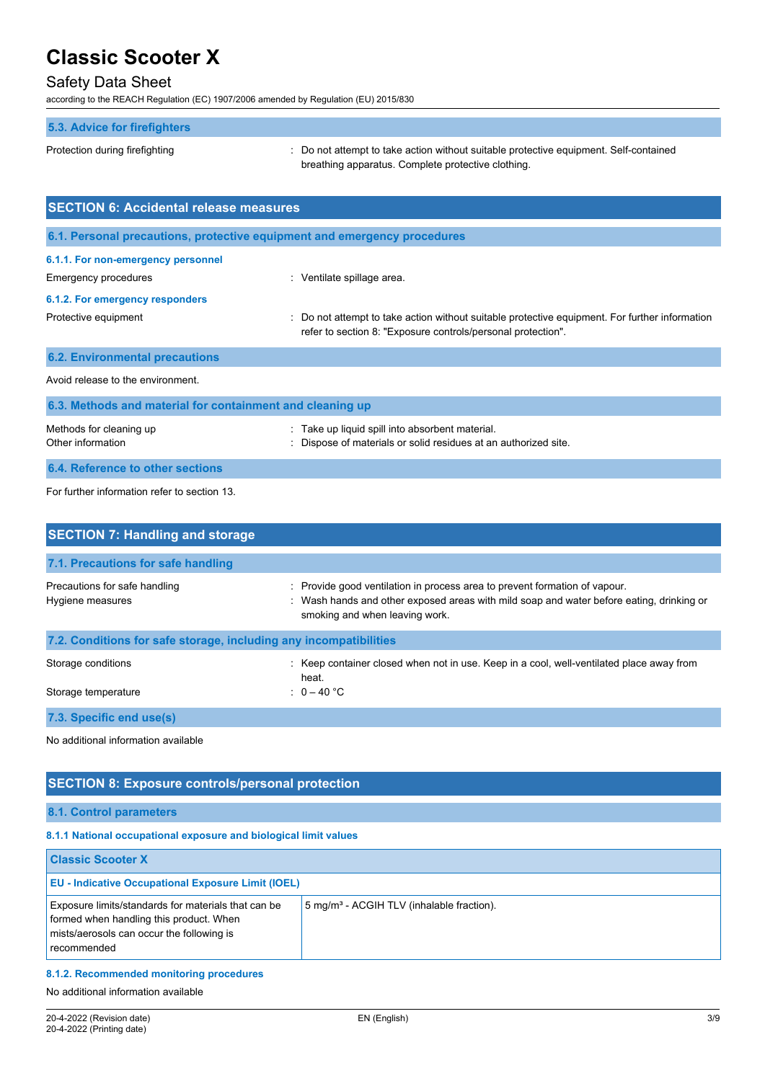## Safety Data Sheet

according to the REACH Regulation (EC) 1907/2006 amended by Regulation (EU) 2015/830

# **5.3. Advice for firefighters**

Protection during firefighting  $\blacksquare$ : Do not attempt to take action without suitable protective equipment. Self-contained breathing apparatus. Complete protective clothing.

| <b>SECTION 6: Accidental release measures</b>                            |                                                                                                                                                              |  |
|--------------------------------------------------------------------------|--------------------------------------------------------------------------------------------------------------------------------------------------------------|--|
| 6.1. Personal precautions, protective equipment and emergency procedures |                                                                                                                                                              |  |
| 6.1.1. For non-emergency personnel<br><b>Emergency procedures</b>        | : Ventilate spillage area.                                                                                                                                   |  |
| 6.1.2. For emergency responders                                          |                                                                                                                                                              |  |
| Protective equipment                                                     | Do not attempt to take action without suitable protective equipment. For further information<br>refer to section 8: "Exposure controls/personal protection". |  |
| <b>6.2. Environmental precautions</b>                                    |                                                                                                                                                              |  |
| Avoid release to the environment.                                        |                                                                                                                                                              |  |
| 6.3. Methods and material for containment and cleaning up                |                                                                                                                                                              |  |
| Methods for cleaning up<br>Other information                             | Take up liquid spill into absorbent material.<br>Dispose of materials or solid residues at an authorized site.                                               |  |
| 6.4. Reference to other sections                                         |                                                                                                                                                              |  |

For further information refer to section 13.

| <b>SECTION 7: Handling and storage</b>                            |                                                                                                                                                                                                          |
|-------------------------------------------------------------------|----------------------------------------------------------------------------------------------------------------------------------------------------------------------------------------------------------|
| 7.1. Precautions for safe handling                                |                                                                                                                                                                                                          |
| Precautions for safe handling<br>Hygiene measures                 | : Provide good ventilation in process area to prevent formation of vapour.<br>: Wash hands and other exposed areas with mild soap and water before eating, drinking or<br>smoking and when leaving work. |
| 7.2. Conditions for safe storage, including any incompatibilities |                                                                                                                                                                                                          |
| Storage conditions                                                | : Keep container closed when not in use. Keep in a cool, well-ventilated place away from<br>heat.                                                                                                        |
| Storage temperature                                               | : $0-40$ °C                                                                                                                                                                                              |
| 7.3. Specific end use(s)                                          |                                                                                                                                                                                                          |

No additional information available

# **SECTION 8: Exposure controls/personal protection**

**8.1. Control parameters**

### **8.1.1 National occupational exposure and biological limit values**

| <b>Classic Scooter X</b>                                                                                                                                   |                                                       |
|------------------------------------------------------------------------------------------------------------------------------------------------------------|-------------------------------------------------------|
| <b>EU - Indicative Occupational Exposure Limit (IOEL)</b>                                                                                                  |                                                       |
| Exposure limits/standards for materials that can be<br>formed when handling this product. When<br>mists/aerosols can occur the following is<br>recommended | 5 mg/m <sup>3</sup> - ACGIH TLV (inhalable fraction). |

#### **8.1.2. Recommended monitoring procedures**

No additional information available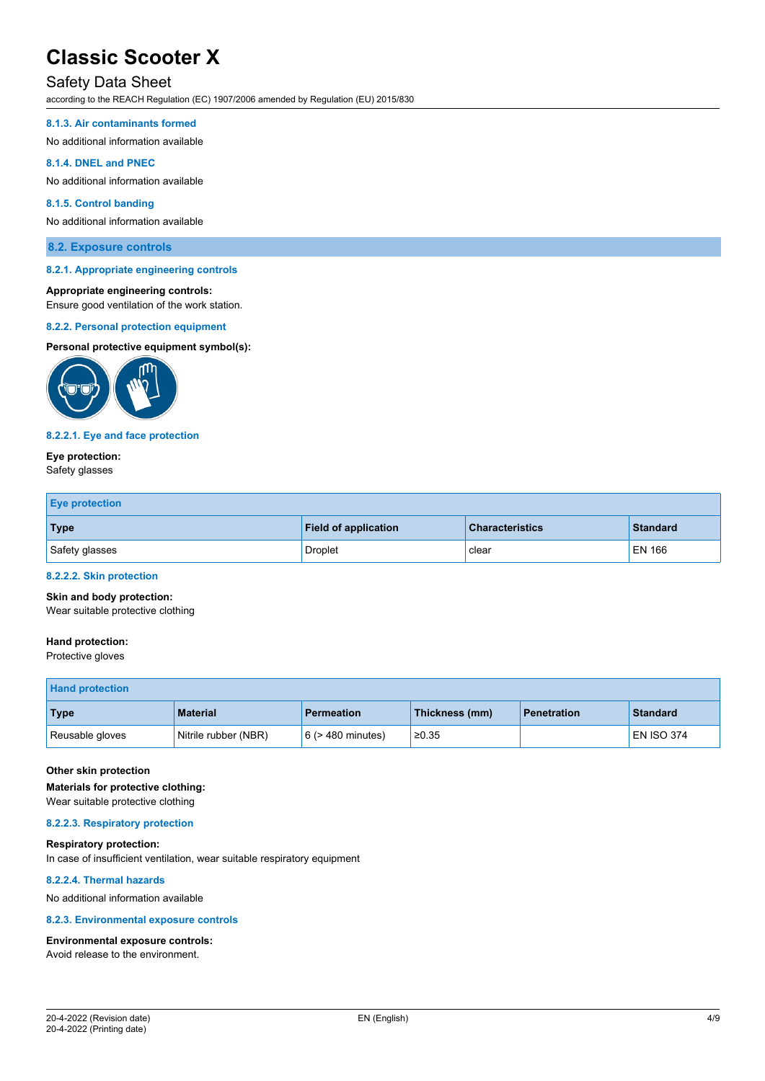### Safety Data Sheet

according to the REACH Regulation (EC) 1907/2006 amended by Regulation (EU) 2015/830

#### **8.1.3. Air contaminants formed**

No additional information available

#### **8.1.4. DNEL and PNEC**

No additional information available

#### **8.1.5. Control banding**

No additional information available

#### **8.2. Exposure controls**

#### **8.2.1. Appropriate engineering controls**

#### **Appropriate engineering controls:**

Ensure good ventilation of the work station.

#### **8.2.2. Personal protection equipment**

#### **Personal protective equipment symbol(s):**



#### **8.2.2.1. Eye and face protection**

#### **Eye protection:**

Safety glasses

| <b>Eye protection</b> |                             |                        |          |
|-----------------------|-----------------------------|------------------------|----------|
| <b>Type</b>           | <b>Field of application</b> | <b>Characteristics</b> | Standard |
| Safety glasses        | <b>Droplet</b>              | clear                  | EN 166   |

#### **8.2.2.2. Skin protection**

#### **Skin and body protection:**

Wear suitable protective clothing

#### **Hand protection:**

Protective gloves

| <b>Hand protection</b> |                      |                        |                |                    |                 |
|------------------------|----------------------|------------------------|----------------|--------------------|-----------------|
| <b>Type</b>            | <b>Material</b>      | <b>Permeation</b>      | Thickness (mm) | <b>Penetration</b> | <b>Standard</b> |
| Reusable gloves        | Nitrile rubber (NBR) | $6$ ( $>$ 480 minutes) | ≥0.35          |                    | EN ISO 374      |

#### **Other skin protection**

**Materials for protective clothing:**

## Wear suitable protective clothing

#### **8.2.2.3. Respiratory protection**

**Respiratory protection:** In case of insufficient ventilation, wear suitable respiratory equipment

#### **8.2.2.4. Thermal hazards**

No additional information available

#### **8.2.3. Environmental exposure controls**

# **Environmental exposure controls:**

Avoid release to the environment.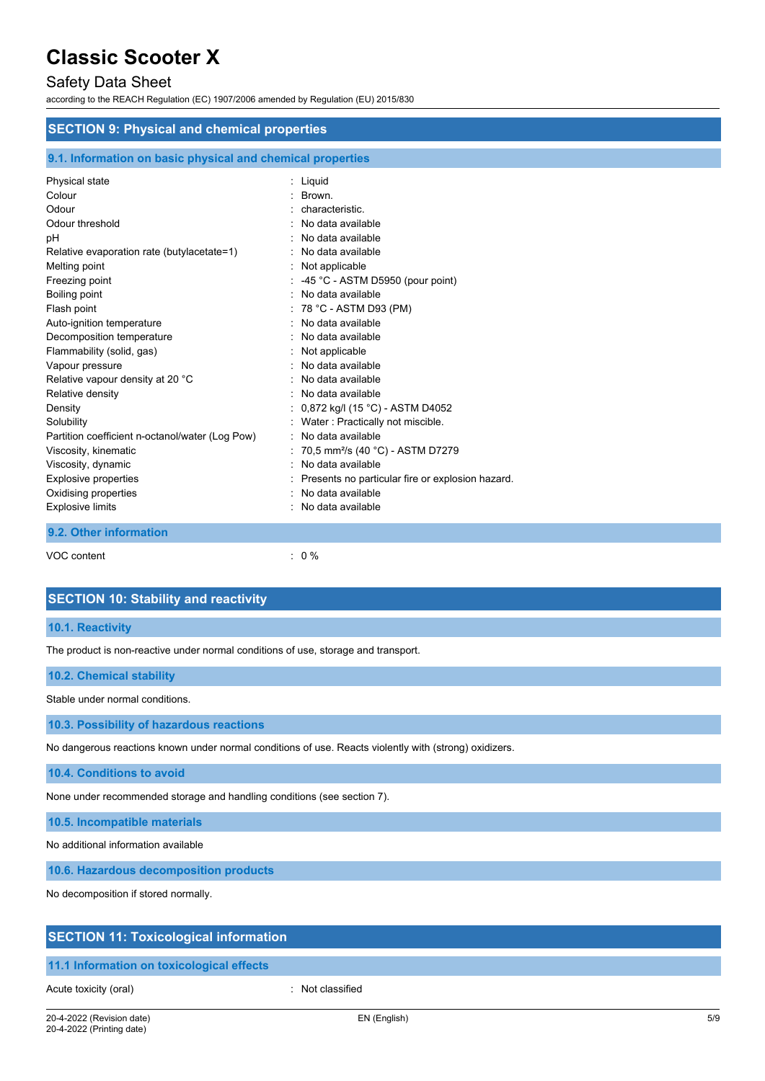# Safety Data Sheet

according to the REACH Regulation (EC) 1907/2006 amended by Regulation (EU) 2015/830

| <b>SECTION 9: Physical and chemical properties</b>                                                                                                                                                                                                                                                                                                                                                                                                                                                     |                                                                                                                                                                                                                                                                                                                                                                                                                                                                                                                                                          |  |  |
|--------------------------------------------------------------------------------------------------------------------------------------------------------------------------------------------------------------------------------------------------------------------------------------------------------------------------------------------------------------------------------------------------------------------------------------------------------------------------------------------------------|----------------------------------------------------------------------------------------------------------------------------------------------------------------------------------------------------------------------------------------------------------------------------------------------------------------------------------------------------------------------------------------------------------------------------------------------------------------------------------------------------------------------------------------------------------|--|--|
| 9.1. Information on basic physical and chemical properties                                                                                                                                                                                                                                                                                                                                                                                                                                             |                                                                                                                                                                                                                                                                                                                                                                                                                                                                                                                                                          |  |  |
| Physical state<br>Colour<br>Odour<br>Odour threshold<br>рH<br>Relative evaporation rate (butylacetate=1)<br>Melting point<br>Freezing point<br>Boiling point<br>Flash point<br>Auto-ignition temperature<br>Decomposition temperature<br>Flammability (solid, gas)<br>Vapour pressure<br>Relative vapour density at 20 °C<br>Relative density<br>Density<br>Solubility<br>Partition coefficient n-octanol/water (Log Pow)<br>Viscosity, kinematic<br>Viscosity, dynamic<br><b>Explosive properties</b> | : Liquid<br>Brown.<br>characteristic.<br>No data available<br>No data available<br>No data available<br>Not applicable<br>-45 °C - ASTM D5950 (pour point)<br>No data available<br>78 °C - ASTM D93 (PM)<br>No data available<br>No data available<br>Not applicable<br>No data available<br>No data available<br>No data available<br>0,872 kg/l (15 °C) - ASTM D4052<br>Water: Practically not miscible.<br>No data available<br>70,5 mm <sup>2</sup> /s (40 °C) - ASTM D7279<br>No data available<br>Presents no particular fire or explosion hazard. |  |  |
| Oxidising properties<br><b>Explosive limits</b>                                                                                                                                                                                                                                                                                                                                                                                                                                                        | No data available<br>No data available                                                                                                                                                                                                                                                                                                                                                                                                                                                                                                                   |  |  |
| 9.2. Other information                                                                                                                                                                                                                                                                                                                                                                                                                                                                                 |                                                                                                                                                                                                                                                                                                                                                                                                                                                                                                                                                          |  |  |

VOC content : 0 %

| <b>SECTION 10: Stability and reactivity</b>                                                            |
|--------------------------------------------------------------------------------------------------------|
| 10.1. Reactivity                                                                                       |
| The product is non-reactive under normal conditions of use, storage and transport.                     |
| 10.2. Chemical stability                                                                               |
| Stable under normal conditions.                                                                        |
| 10.3. Possibility of hazardous reactions                                                               |
| No dangerous reactions known under normal conditions of use. Reacts violently with (strong) oxidizers. |

**10.4. Conditions to avoid**

None under recommended storage and handling conditions (see section 7).

**10.5. Incompatible materials**

No additional information available

**10.6. Hazardous decomposition products**

No decomposition if stored normally.

### **SECTION 11: Toxicological information**

### **11.1 Information on toxicological effects**

Acute toxicity (oral) **interest and the Contract Contract Contract Contract Contract Contract Contract Contract Contract Contract Contract Contract Contract Contract Contract Contract Contract Contract Contract Contract Co**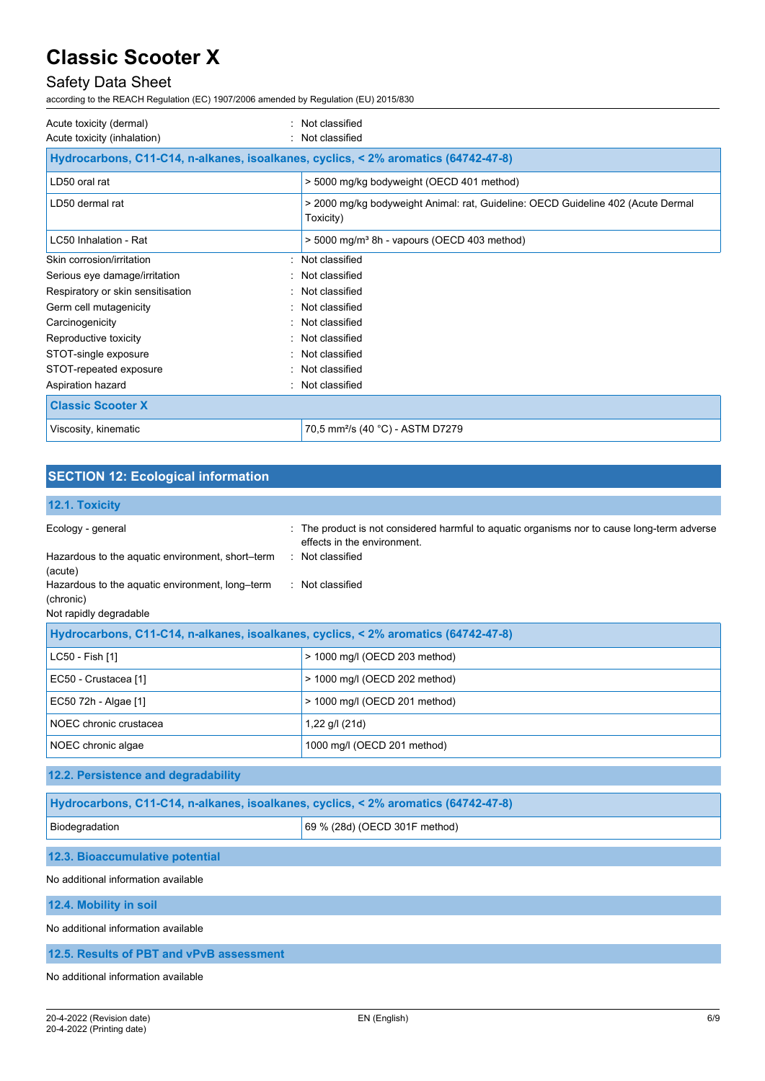# Safety Data Sheet

according to the REACH Regulation (EC) 1907/2006 amended by Regulation (EU) 2015/830

| Acute toxicity (dermal)<br>Acute toxicity (inhalation)                             | : Not classified<br>Not classified                                                            |  |
|------------------------------------------------------------------------------------|-----------------------------------------------------------------------------------------------|--|
| Hydrocarbons, C11-C14, n-alkanes, isoalkanes, cyclics, < 2% aromatics (64742-47-8) |                                                                                               |  |
| LD50 oral rat                                                                      | > 5000 mg/kg bodyweight (OECD 401 method)                                                     |  |
| LD50 dermal rat                                                                    | > 2000 mg/kg bodyweight Animal: rat, Guideline: OECD Guideline 402 (Acute Dermal<br>Toxicity) |  |
| LC50 Inhalation - Rat                                                              | $>$ 5000 mg/m <sup>3</sup> 8h - vapours (OECD 403 method)                                     |  |
| Skin corrosion/irritation                                                          | : Not classified                                                                              |  |
| Serious eye damage/irritation                                                      | : Not classified                                                                              |  |
| Respiratory or skin sensitisation                                                  | : Not classified                                                                              |  |
| Germ cell mutagenicity                                                             | : Not classified                                                                              |  |
| Carcinogenicity                                                                    | Not classified                                                                                |  |
| Reproductive toxicity                                                              | : Not classified                                                                              |  |
| STOT-single exposure                                                               | Not classified                                                                                |  |
| STOT-repeated exposure                                                             | : Not classified                                                                              |  |
| Aspiration hazard                                                                  | : Not classified                                                                              |  |
| <b>Classic Scooter X</b>                                                           |                                                                                               |  |
| Viscosity, kinematic                                                               | 70,5 mm <sup>2</sup> /s (40 °C) - ASTM D7279                                                  |  |

# **SECTION 12: Ecological information**

# **12.1. Toxicity**

| IMI II I VAIVILY                                                                                                                                                           |                                                                                                                                                                    |
|----------------------------------------------------------------------------------------------------------------------------------------------------------------------------|--------------------------------------------------------------------------------------------------------------------------------------------------------------------|
| Ecology - general<br>Hazardous to the aquatic environment, short-term<br>(acute)<br>Hazardous to the aquatic environment, long-term<br>(chronic)<br>Not rapidly degradable | : The product is not considered harmful to aquatic organisms nor to cause long-term adverse<br>effects in the environment.<br>: Not classified<br>: Not classified |
| Hydrocarbons, C11-C14, n-alkanes, isoalkanes, cyclics, < 2% aromatics (64742-47-8)                                                                                         |                                                                                                                                                                    |
| LC50 - Fish [1]                                                                                                                                                            | > 1000 mg/l (OECD 203 method)                                                                                                                                      |
| EC50 - Crustacea [1]                                                                                                                                                       | > 1000 mg/l (OECD 202 method)                                                                                                                                      |
| EC50 72h - Algae [1]                                                                                                                                                       | > 1000 mg/l (OECD 201 method)                                                                                                                                      |
| NOEC chronic crustacea                                                                                                                                                     | 1,22 g/l (21d)                                                                                                                                                     |
| NOEC chronic algae                                                                                                                                                         | 1000 mg/l (OECD 201 method)                                                                                                                                        |
| 12.2. Persistence and degradability                                                                                                                                        |                                                                                                                                                                    |
| Hydrocarbons, C11-C14, n-alkanes, isoalkanes, cyclics, < 2% aromatics (64742-47-8)                                                                                         |                                                                                                                                                                    |
| Biodegradation                                                                                                                                                             | 69 % (28d) (OECD 301F method)                                                                                                                                      |
| 12.3. Bioaccumulative potential                                                                                                                                            |                                                                                                                                                                    |

#### No additional information available

**12.4. Mobility in soil**

No additional information available

**12.5. Results of PBT and vPvB assessment**

No additional information available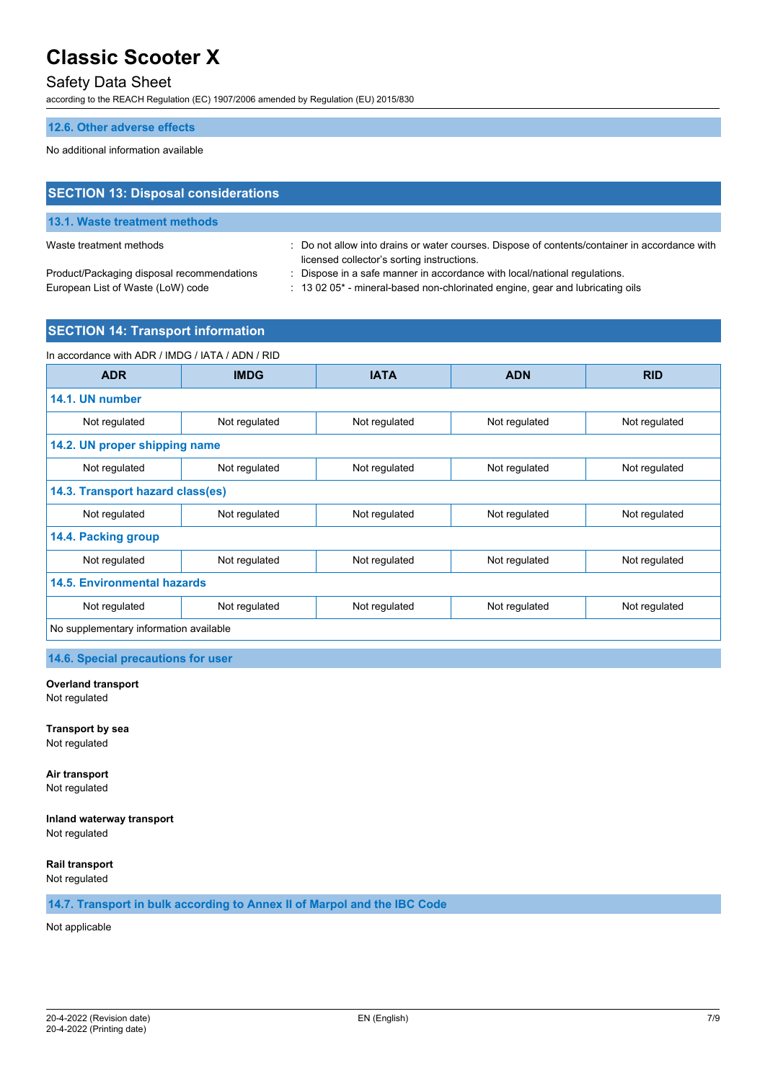## Safety Data Sheet

according to the REACH Regulation (EC) 1907/2006 amended by Regulation (EU) 2015/830

#### **12.6. Other adverse effects**

No additional information available

# **SECTION 13: Disposal considerations 13.1. Waste treatment methods**

Waste treatment methods : Do not allow into drains or water courses. Dispose of contents/container in accordance with licensed collector's sorting instructions.

European List of Waste (LoW) code : 13 02 05\* - mineral-based non-chlorinated engine, gear and lubricating oils

Product/Packaging disposal recommendations : Dispose in a safe manner in accordance with local/national regulations.

### **SECTION 14: Transport information**

| In accordance with ADR / IMDG / IATA / ADN / RID |               |               |               |               |
|--------------------------------------------------|---------------|---------------|---------------|---------------|
| <b>ADR</b>                                       | <b>IMDG</b>   | <b>IATA</b>   | <b>ADN</b>    | <b>RID</b>    |
| 14.1. UN number                                  |               |               |               |               |
| Not regulated                                    | Not regulated | Not regulated | Not regulated | Not regulated |
| 14.2. UN proper shipping name                    |               |               |               |               |
| Not regulated                                    | Not regulated | Not regulated | Not regulated | Not regulated |
| 14.3. Transport hazard class(es)                 |               |               |               |               |
| Not regulated                                    | Not regulated | Not regulated | Not regulated | Not regulated |
| 14.4. Packing group                              |               |               |               |               |
| Not regulated                                    | Not regulated | Not regulated | Not regulated | Not regulated |
| <b>14.5. Environmental hazards</b>               |               |               |               |               |
| Not regulated                                    | Not regulated | Not regulated | Not regulated | Not regulated |
| No supplementary information available           |               |               |               |               |

**14.6. Special precautions for user**

#### **Overland transport**

Not regulated

**Transport by sea** Not regulated

**Air transport** Not regulated

**Inland waterway transport** Not regulated

**Rail transport**

Not regulated

**14.7. Transport in bulk according to Annex II of Marpol and the IBC Code**

Not applicable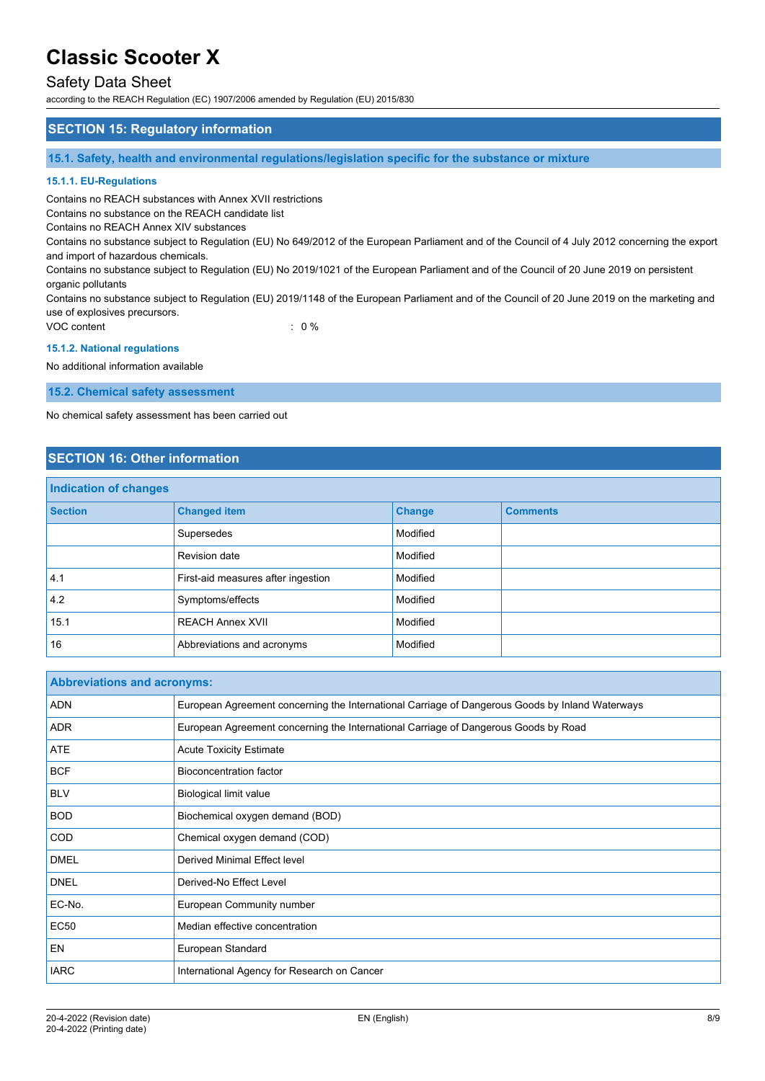### Safety Data Sheet

according to the REACH Regulation (EC) 1907/2006 amended by Regulation (EU) 2015/830

### **SECTION 15: Regulatory information**

**15.1. Safety, health and environmental regulations/legislation specific for the substance or mixture**

#### **15.1.1. EU-Regulations**

Contains no REACH substances with Annex XVII restrictions

Contains no substance on the REACH candidate list

Contains no REACH Annex XIV substances

Contains no substance subject to Regulation (EU) No 649/2012 of the European Parliament and of the Council of 4 July 2012 concerning the export and import of hazardous chemicals.

Contains no substance subject to Regulation (EU) No 2019/1021 of the European Parliament and of the Council of 20 June 2019 on persistent organic pollutants

Contains no substance subject to Regulation (EU) 2019/1148 of the European Parliament and of the Council of 20 June 2019 on the marketing and use of explosives precursors.

VOC content : 0 %

#### **15.1.2. National regulations**

No additional information available

**15.2. Chemical safety assessment**

No chemical safety assessment has been carried out

### **SECTION 16: Other information**

| <b>Indication of changes</b> |                                    |               |                 |
|------------------------------|------------------------------------|---------------|-----------------|
| <b>Section</b>               | <b>Changed item</b>                | <b>Change</b> | <b>Comments</b> |
|                              | Supersedes                         | Modified      |                 |
|                              | Revision date                      | Modified      |                 |
| 4.1                          | First-aid measures after ingestion | Modified      |                 |
| 4.2                          | Symptoms/effects                   | Modified      |                 |
| 15.1                         | <b>REACH Annex XVII</b>            | Modified      |                 |
| 16                           | Abbreviations and acronyms         | Modified      |                 |

| <b>Abbreviations and acronyms:</b> |                                                                                                 |
|------------------------------------|-------------------------------------------------------------------------------------------------|
| <b>ADN</b>                         | European Agreement concerning the International Carriage of Dangerous Goods by Inland Waterways |
| <b>ADR</b>                         | European Agreement concerning the International Carriage of Dangerous Goods by Road             |
| <b>ATE</b>                         | <b>Acute Toxicity Estimate</b>                                                                  |
| <b>BCF</b>                         | Bioconcentration factor                                                                         |
| <b>BLV</b>                         | Biological limit value                                                                          |
| <b>BOD</b>                         | Biochemical oxygen demand (BOD)                                                                 |
| <b>COD</b>                         | Chemical oxygen demand (COD)                                                                    |
| <b>DMEL</b>                        | <b>Derived Minimal Effect level</b>                                                             |
| <b>DNEL</b>                        | Derived-No Effect Level                                                                         |
| EC-No.                             | European Community number                                                                       |
| <b>EC50</b>                        | Median effective concentration                                                                  |
| <b>EN</b>                          | European Standard                                                                               |
| <b>IARC</b>                        | International Agency for Research on Cancer                                                     |